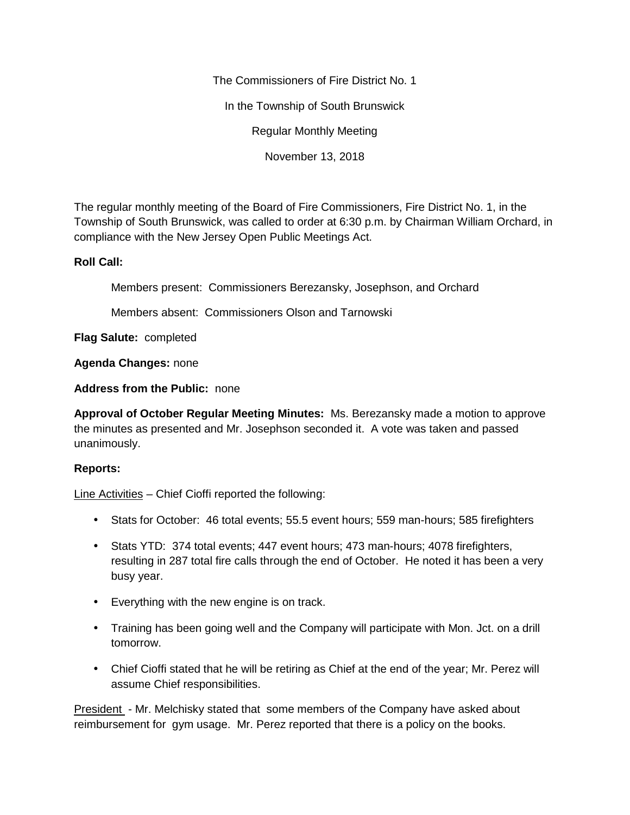The Commissioners of Fire District No. 1

In the Township of South Brunswick

Regular Monthly Meeting

November 13, 2018

The regular monthly meeting of the Board of Fire Commissioners, Fire District No. 1, in the Township of South Brunswick, was called to order at 6:30 p.m. by Chairman William Orchard, in compliance with the New Jersey Open Public Meetings Act.

## **Roll Call:**

Members present: Commissioners Berezansky, Josephson, and Orchard

Members absent: Commissioners Olson and Tarnowski

**Flag Salute:** completed

**Agenda Changes:** none

**Address from the Public:** none

**Approval of October Regular Meeting Minutes:** Ms. Berezansky made a motion to approve the minutes as presented and Mr. Josephson seconded it. A vote was taken and passed unanimously.

## **Reports:**

Line Activities – Chief Cioffi reported the following:

- Stats for October: 46 total events; 55.5 event hours; 559 man-hours; 585 firefighters
- Stats YTD: 374 total events; 447 event hours; 473 man-hours; 4078 firefighters, resulting in 287 total fire calls through the end of October. He noted it has been a very busy year.
- Everything with the new engine is on track.
- Training has been going well and the Company will participate with Mon. Jct. on a drill tomorrow.
- Chief Cioffi stated that he will be retiring as Chief at the end of the year; Mr. Perez will assume Chief responsibilities.

President - Mr. Melchisky stated that some members of the Company have asked about reimbursement for gym usage. Mr. Perez reported that there is a policy on the books.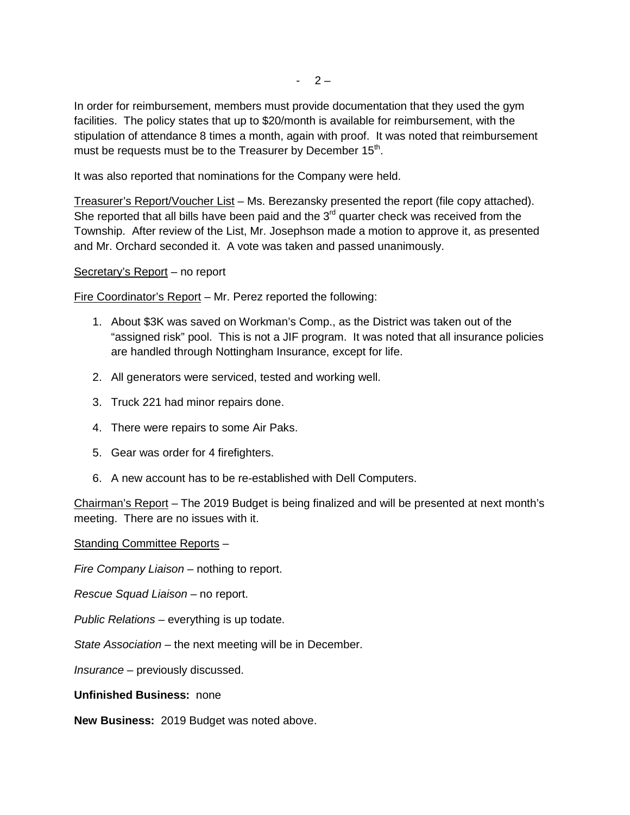In order for reimbursement, members must provide documentation that they used the gym facilities. The policy states that up to \$20/month is available for reimbursement, with the stipulation of attendance 8 times a month, again with proof. It was noted that reimbursement must be requests must be to the Treasurer by December 15 $^{\rm th}$ .

It was also reported that nominations for the Company were held.

Treasurer's Report/Voucher List – Ms. Berezansky presented the report (file copy attached). She reported that all bills have been paid and the  $3<sup>rd</sup>$  quarter check was received from the Township. After review of the List, Mr. Josephson made a motion to approve it, as presented and Mr. Orchard seconded it. A vote was taken and passed unanimously.

## Secretary's Report – no report

Fire Coordinator's Report – Mr. Perez reported the following:

- 1. About \$3K was saved on Workman's Comp., as the District was taken out of the "assigned risk" pool. This is not a JIF program. It was noted that all insurance policies are handled through Nottingham Insurance, except for life.
- 2. All generators were serviced, tested and working well.
- 3. Truck 221 had minor repairs done.
- 4. There were repairs to some Air Paks.
- 5. Gear was order for 4 firefighters.
- 6. A new account has to be re-established with Dell Computers.

Chairman's Report – The 2019 Budget is being finalized and will be presented at next month's meeting. There are no issues with it.

Standing Committee Reports –

*Fire Company Liaison –* nothing to report.

*Rescue Squad Liaison –* no report.

*Public Relations –* everything is up todate.

*State Association –* the next meeting will be in December.

*Insurance –* previously discussed.

**Unfinished Business:** none

**New Business:** 2019 Budget was noted above.